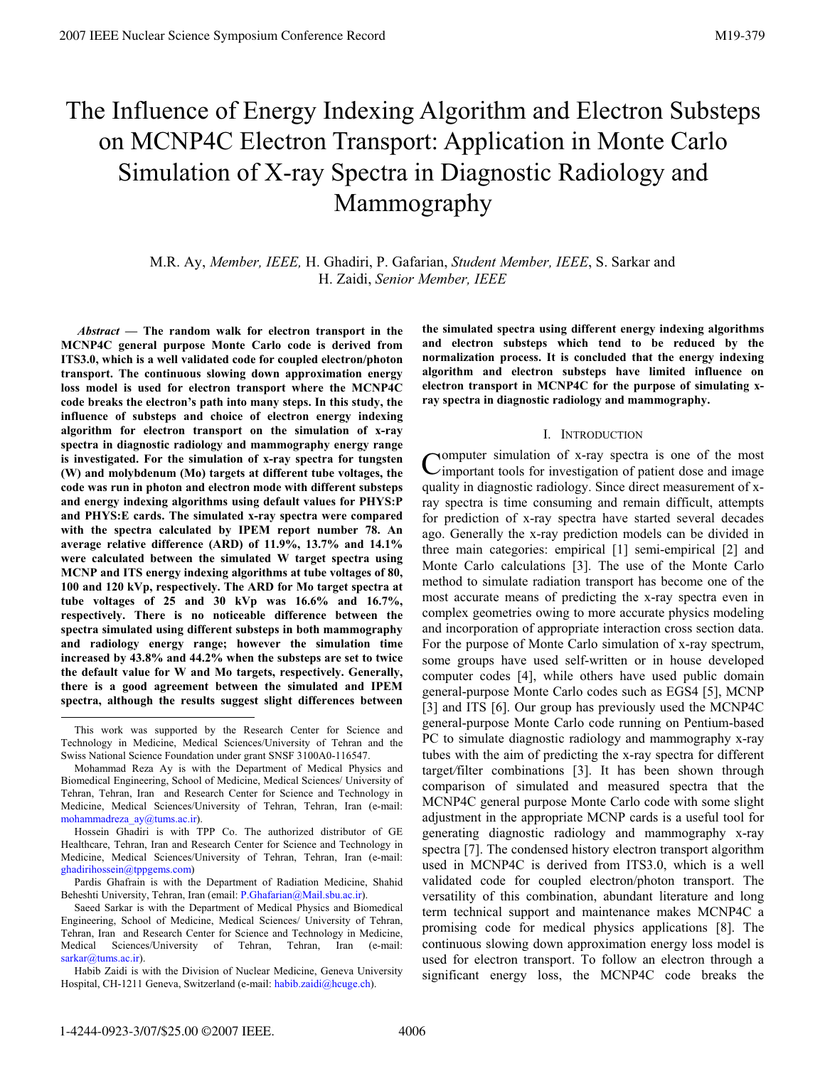# The Influence of Energy Indexing Algorithm and Electron Substeps on MCNP4C Electron Transport: Application in Monte Carlo Simulation of X-ray Spectra in Diagnostic Radiology and Mammography

M.R. Ay, *Member, IEEE,* H. Ghadiri, P. Gafarian, *Student Member, IEEE*, S. Sarkar and H. Zaidi, *Senior Member, IEEE*

*Abstract —* **The random walk for electron transport in the MCNP4C general purpose Monte Carlo code is derived from ITS3.0, which is a well validated code for coupled electron/photon transport. The continuous slowing down approximation energy loss model is used for electron transport where the MCNP4C code breaks the electron's path into many steps. In this study, the influence of substeps and choice of electron energy indexing algorithm for electron transport on the simulation of x-ray spectra in diagnostic radiology and mammography energy range is investigated. For the simulation of x-ray spectra for tungsten (W) and molybdenum (Mo) targets at different tube voltages, the code was run in photon and electron mode with different substeps and energy indexing algorithms using default values for PHYS:P and PHYS:E cards. The simulated x-ray spectra were compared with the spectra calculated by IPEM report number 78. An average relative difference (ARD) of 11.9%, 13.7% and 14.1% were calculated between the simulated W target spectra using MCNP and ITS energy indexing algorithms at tube voltages of 80, 100 and 120 kVp, respectively. The ARD for Mo target spectra at tube voltages of 25 and 30 kVp was 16.6% and 16.7%, respectively. There is no noticeable difference between the spectra simulated using different substeps in both mammography and radiology energy range; however the simulation time increased by 43.8% and 44.2% when the substeps are set to twice the default value for W and Mo targets, respectively. Generally, there is a good agreement between the simulated and IPEM spectra, although the results suggest slight differences between** 

**the simulated spectra using different energy indexing algorithms and electron substeps which tend to be reduced by the normalization process. It is concluded that the energy indexing algorithm and electron substeps have limited influence on electron transport in MCNP4C for the purpose of simulating xray spectra in diagnostic radiology and mammography.** 

#### I. INTRODUCTION

omputer simulation of x-ray spectra is one of the most Computer simulation of x-ray spectra is one of the most<br>Cimportant tools for investigation of patient dose and image quality in diagnostic radiology. Since direct measurement of xray spectra is time consuming and remain difficult, attempts for prediction of x-ray spectra have started several decades ago. Generally the x-ray prediction models can be divided in three main categories: empirical [1] semi-empirical [2] and Monte Carlo calculations [3]. The use of the Monte Carlo method to simulate radiation transport has become one of the most accurate means of predicting the x-ray spectra even in complex geometries owing to more accurate physics modeling and incorporation of appropriate interaction cross section data. For the purpose of Monte Carlo simulation of x-ray spectrum, some groups have used self-written or in house developed computer codes [4], while others have used public domain general-purpose Monte Carlo codes such as EGS4 [5], MCNP [3] and ITS [6]. Our group has previously used the MCNP4C general-purpose Monte Carlo code running on Pentium-based PC to simulate diagnostic radiology and mammography x-ray tubes with the aim of predicting the x-ray spectra for different target*/*filter combinations [3]. It has been shown through comparison of simulated and measured spectra that the MCNP4C general purpose Monte Carlo code with some slight adjustment in the appropriate MCNP cards is a useful tool for generating diagnostic radiology and mammography x-ray spectra [7]. The condensed history electron transport algorithm used in MCNP4C is derived from ITS3.0, which is a well validated code for coupled electron/photon transport. The versatility of this combination, abundant literature and long term technical support and maintenance makes MCNP4C a promising code for medical physics applications [8]. The continuous slowing down approximation energy loss model is used for electron transport. To follow an electron through a significant energy loss, the MCNP4C code breaks the

This work was supported by the Research Center for Science and Technology in Medicine, Medical Sciences/University of Tehran and the Swiss National Science Foundation under grant SNSF 3100A0-116547.

Mohammad Reza Ay is with the Department of Medical Physics and Biomedical Engineering, School of Medicine, Medical Sciences/ University of Tehran, Tehran, Iran and Research Center for Science and Technology in Medicine, Medical Sciences/University of Tehran, Tehran, Iran (e-mail: mohammadreza\_ay@tums.ac.ir).

Hossein Ghadiri is with TPP Co. The authorized distributor of GE Healthcare, Tehran, Iran and Research Center for Science and Technology in Medicine, Medical Sciences/University of Tehran, Tehran, Iran (e-mail: ghadirihossein@tppgems.com)

Pardis Ghafrain is with the Department of Radiation Medicine, Shahid Beheshti University, Tehran, Iran (email: P.Ghafarian@Mail.sbu.ac.ir).

Saeed Sarkar is with the Department of Medical Physics and Biomedical Engineering, School of Medicine, Medical Sciences/ University of Tehran, Tehran, Iran and Research Center for Science and Technology in Medicine,<br>Medical Sciences/University of Tehran, Tehran, Iran (e-mail: Medical Sciences/University of Tehran, Tehran, sarkar@tums.ac.ir).

Habib Zaidi is with the Division of Nuclear Medicine, Geneva University Hospital, CH-1211 Geneva, Switzerland (e-mail: habib.zaidi@hcuge.ch).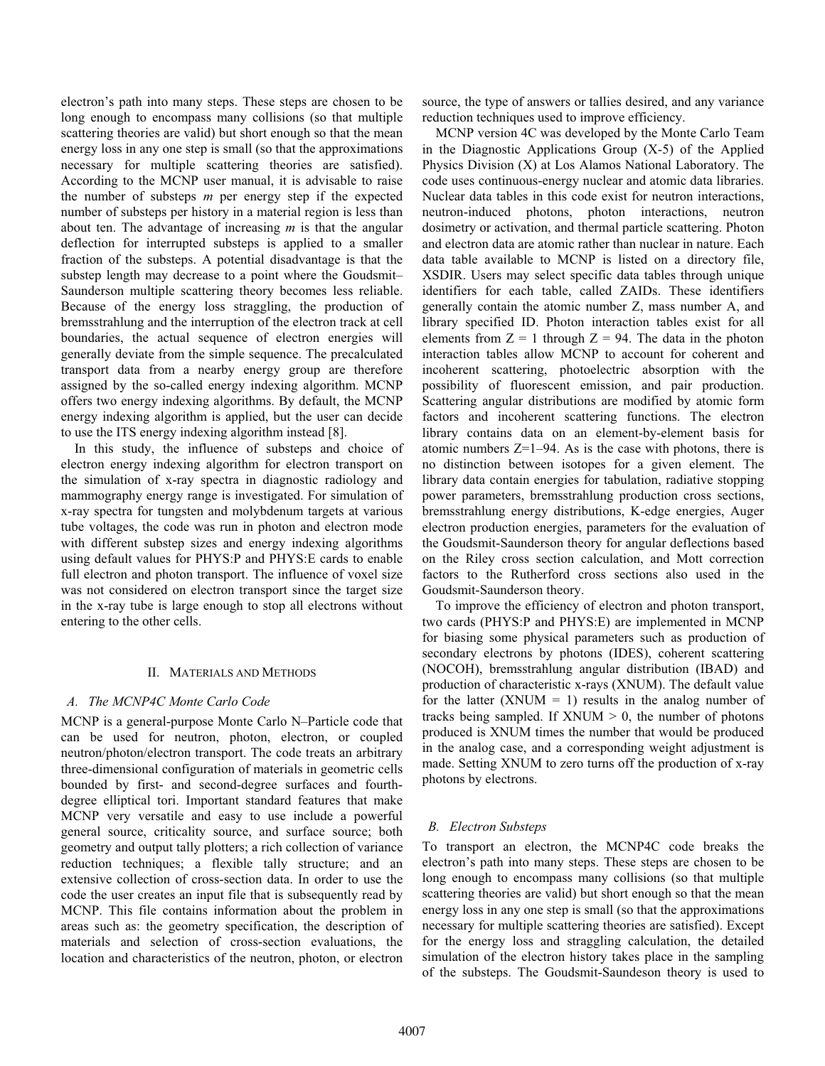electron's path into many steps. These steps are chosen to be long enough to encompass many collisions (so that multiple scattering theories are valid) but short enough so that the mean energy loss in any one step is small (so that the approximations necessary for multiple scattering theories are satisfied). According to the MCNP user manual, it is advisable to raise the number of substeps *m* per energy step if the expected number of substeps per history in a material region is less than about ten. The advantage of increasing *m* is that the angular deflection for interrupted substeps is applied to a smaller fraction of the substeps. A potential disadvantage is that the substep length may decrease to a point where the Goudsmit– Saunderson multiple scattering theory becomes less reliable. Because of the energy loss straggling, the production of bremsstrahlung and the interruption of the electron track at cell boundaries, the actual sequence of electron energies will generally deviate from the simple sequence. The precalculated transport data from a nearby energy group are therefore assigned by the so-called energy indexing algorithm. MCNP offers two energy indexing algorithms. By default, the MCNP energy indexing algorithm is applied, but the user can decide to use the ITS energy indexing algorithm instead [8].

In this study, the influence of substeps and choice of electron energy indexing algorithm for electron transport on the simulation of x-ray spectra in diagnostic radiology and mammography energy range is investigated. For simulation of x-ray spectra for tungsten and molybdenum targets at various tube voltages, the code was run in photon and electron mode with different substep sizes and energy indexing algorithms using default values for PHYS:P and PHYS:E cards to enable full electron and photon transport. The influence of voxel size was not considered on electron transport since the target size in the x-ray tube is large enough to stop all electrons without entering to the other cells.

#### II. MATERIALS AND METHODS

# *A. The MCNP4C Monte Carlo Code*

MCNP is a general-purpose Monte Carlo N–Particle code that can be used for neutron, photon, electron, or coupled neutron/photon/electron transport. The code treats an arbitrary three-dimensional configuration of materials in geometric cells bounded by first- and second-degree surfaces and fourthdegree elliptical tori. Important standard features that make MCNP very versatile and easy to use include a powerful general source, criticality source, and surface source; both geometry and output tally plotters; a rich collection of variance reduction techniques; a flexible tally structure; and an extensive collection of cross-section data. In order to use the code the user creates an input file that is subsequently read by MCNP. This file contains information about the problem in areas such as: the geometry specification, the description of materials and selection of cross-section evaluations, the location and characteristics of the neutron, photon, or electron source, the type of answers or tallies desired, and any variance reduction techniques used to improve efficiency.

MCNP version 4C was developed by the Monte Carlo Team in the Diagnostic Applications Group  $(X-5)$  of the Applied Physics Division (X) at Los Alamos National Laboratory. The code uses continuous-energy nuclear and atomic data libraries. Nuclear data tables in this code exist for neutron interactions, neutron-induced photons, photon interactions, neutron dosimetry or activation, and thermal particle scattering. Photon and electron data are atomic rather than nuclear in nature. Each data table available to MCNP is listed on a directory file, XSDIR. Users may select specific data tables through unique identifiers for each table, called ZAIDs. These identifiers generally contain the atomic number Z, mass number A, and library specified ID. Photon interaction tables exist for all elements from  $Z = 1$  through  $Z = 94$ . The data in the photon interaction tables allow MCNP to account for coherent and incoherent scattering, photoelectric absorption with the possibility of fluorescent emission, and pair production. Scattering angular distributions are modified by atomic form factors and incoherent scattering functions. The electron library contains data on an element-by-element basis for atomic numbers  $Z=1-94$ . As is the case with photons, there is no distinction between isotopes for a given element. The library data contain energies for tabulation, radiative stopping power parameters, bremsstrahlung production cross sections, bremsstrahlung energy distributions, K-edge energies, Auger electron production energies, parameters for the evaluation of the Goudsmit-Saunderson theory for angular deflections based on the Riley cross section calculation, and Mott correction factors to the Rutherford cross sections also used in the Goudsmit-Saunderson theory.

To improve the efficiency of electron and photon transport, two cards (PHYS:P and PHYS:E) are implemented in MCNP for biasing some physical parameters such as production of secondary electrons by photons (IDES), coherent scattering (NOCOH), bremsstrahlung angular distribution (IBAD) and production of characteristic x-rays (XNUM). The default value for the latter  $(XNUM = 1)$  results in the analog number of tracks being sampled. If  $XNUM > 0$ , the number of photons produced is XNUM times the number that would be produced in the analog case, and a corresponding weight adjustment is made. Setting XNUM to zero turns off the production of x-ray photons by electrons.

# *B. Electron Substeps*

To transport an electron, the MCNP4C code breaks the electron's path into many steps. These steps are chosen to be long enough to encompass many collisions (so that multiple scattering theories are valid) but short enough so that the mean energy loss in any one step is small (so that the approximations necessary for multiple scattering theories are satisfied). Except for the energy loss and straggling calculation, the detailed simulation of the electron history takes place in the sampling of the substeps. The Goudsmit-Saundeson theory is used to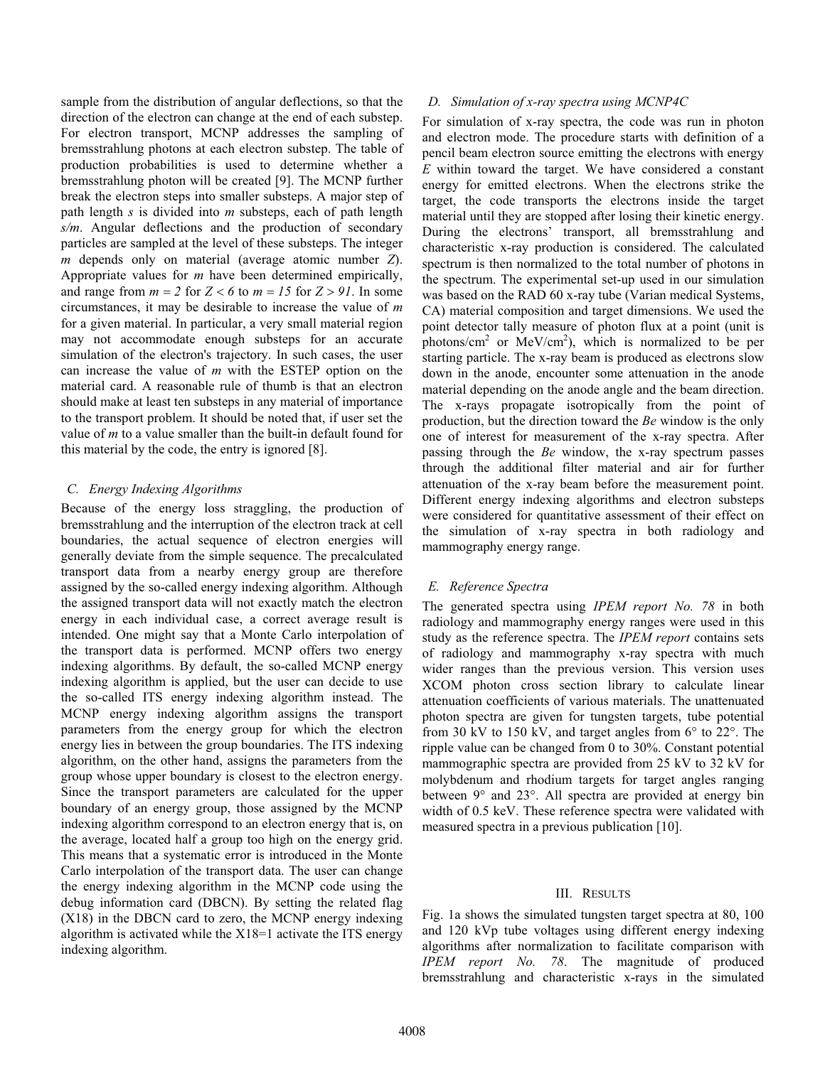sample from the distribution of angular deflections, so that the direction of the electron can change at the end of each substep. For electron transport, MCNP addresses the sampling of bremsstrahlung photons at each electron substep. The table of production probabilities is used to determine whether a bremsstrahlung photon will be created [9]. The MCNP further break the electron steps into smaller substeps. A major step of path length *s* is divided into *m* substeps, each of path length *s/m*. Angular deflections and the production of secondary particles are sampled at the level of these substeps. The integer *m* depends only on material (average atomic number *Z*). Appropriate values for *m* have been determined empirically, and range from  $m = 2$  for  $Z < 6$  to  $m = 15$  for  $Z > 91$ . In some circumstances, it may be desirable to increase the value of *m* for a given material. In particular, a very small material region may not accommodate enough substeps for an accurate simulation of the electron's trajectory. In such cases, the user can increase the value of *m* with the ESTEP option on the material card. A reasonable rule of thumb is that an electron should make at least ten substeps in any material of importance to the transport problem. It should be noted that, if user set the value of *m* to a value smaller than the built-in default found for this material by the code, the entry is ignored [8].

# *C. Energy Indexing Algorithms*

Because of the energy loss straggling, the production of bremsstrahlung and the interruption of the electron track at cell boundaries, the actual sequence of electron energies will generally deviate from the simple sequence. The precalculated transport data from a nearby energy group are therefore assigned by the so-called energy indexing algorithm. Although the assigned transport data will not exactly match the electron energy in each individual case, a correct average result is intended. One might say that a Monte Carlo interpolation of the transport data is performed. MCNP offers two energy indexing algorithms. By default, the so-called MCNP energy indexing algorithm is applied, but the user can decide to use the so-called ITS energy indexing algorithm instead. The MCNP energy indexing algorithm assigns the transport parameters from the energy group for which the electron energy lies in between the group boundaries. The ITS indexing algorithm, on the other hand, assigns the parameters from the group whose upper boundary is closest to the electron energy. Since the transport parameters are calculated for the upper boundary of an energy group, those assigned by the MCNP indexing algorithm correspond to an electron energy that is, on the average, located half a group too high on the energy grid. This means that a systematic error is introduced in the Monte Carlo interpolation of the transport data. The user can change the energy indexing algorithm in the MCNP code using the debug information card (DBCN). By setting the related flag (X18) in the DBCN card to zero, the MCNP energy indexing algorithm is activated while the  $X18=1$  activate the ITS energy indexing algorithm.

# *D. Simulation of x-ray spectra using MCNP4C*

For simulation of x-ray spectra, the code was run in photon and electron mode. The procedure starts with definition of a pencil beam electron source emitting the electrons with energy *E* within toward the target. We have considered a constant energy for emitted electrons. When the electrons strike the target, the code transports the electrons inside the target material until they are stopped after losing their kinetic energy. During the electrons' transport, all bremsstrahlung and characteristic x-ray production is considered. The calculated spectrum is then normalized to the total number of photons in the spectrum. The experimental set-up used in our simulation was based on the RAD 60 x-ray tube (Varian medical Systems, CA) material composition and target dimensions. We used the point detector tally measure of photon flux at a point (unit is photons/cm<sup>2</sup> or MeV/cm<sup>2</sup>), which is normalized to be per starting particle. The x-ray beam is produced as electrons slow down in the anode, encounter some attenuation in the anode material depending on the anode angle and the beam direction. The x-rays propagate isotropically from the point of production, but the direction toward the *Be* window is the only one of interest for measurement of the x-ray spectra. After passing through the *Be* window, the x-ray spectrum passes through the additional filter material and air for further attenuation of the x-ray beam before the measurement point. Different energy indexing algorithms and electron substeps were considered for quantitative assessment of their effect on the simulation of x-ray spectra in both radiology and mammography energy range.

# *E. Reference Spectra*

The generated spectra using *IPEM report No. 78* in both radiology and mammography energy ranges were used in this study as the reference spectra. The *IPEM report* contains sets of radiology and mammography x-ray spectra with much wider ranges than the previous version. This version uses XCOM photon cross section library to calculate linear attenuation coefficients of various materials. The unattenuated photon spectra are given for tungsten targets, tube potential from 30 kV to 150 kV, and target angles from 6° to 22°. The ripple value can be changed from 0 to 30%. Constant potential mammographic spectra are provided from 25 kV to 32 kV for molybdenum and rhodium targets for target angles ranging between 9° and 23°. All spectra are provided at energy bin width of 0.5 keV. These reference spectra were validated with measured spectra in a previous publication [10].

### III. RESULTS

Fig. 1a shows the simulated tungsten target spectra at 80, 100 and 120 kVp tube voltages using different energy indexing algorithms after normalization to facilitate comparison with *IPEM report No. 78*. The magnitude of produced bremsstrahlung and characteristic x-rays in the simulated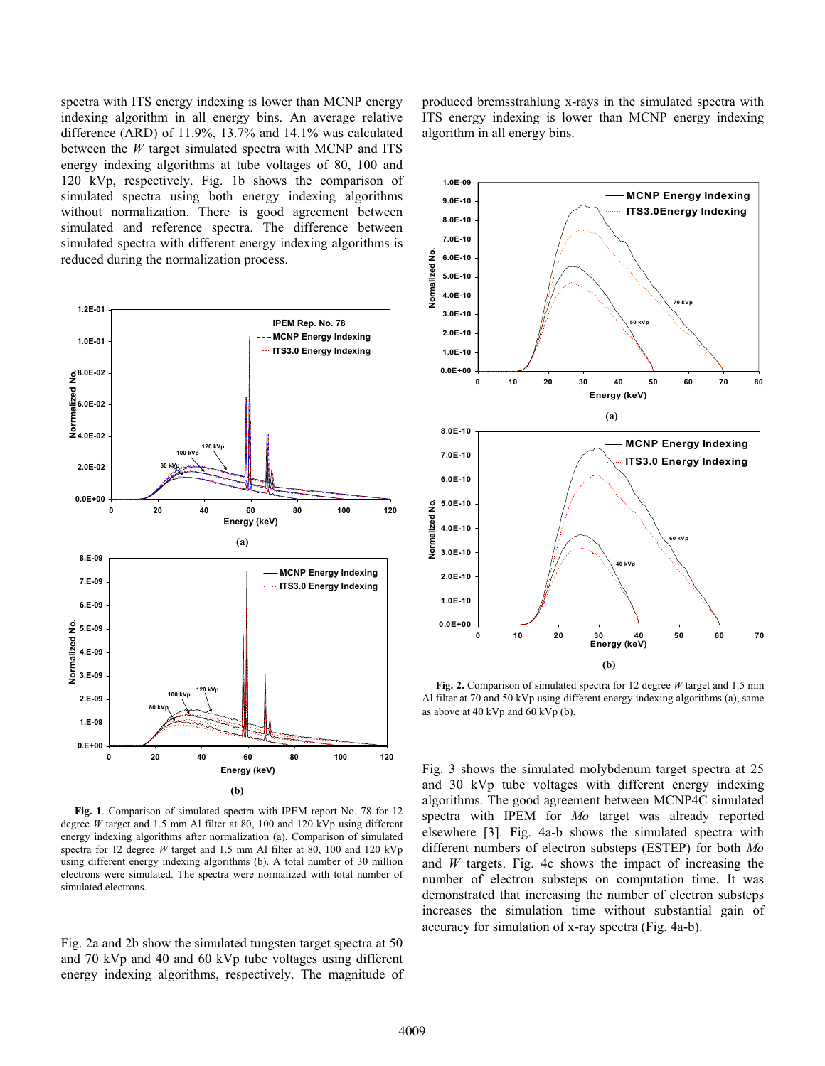spectra with ITS energy indexing is lower than MCNP energy indexing algorithm in all energy bins. An average relative difference (ARD) of 11.9%, 13.7% and 14.1% was calculated between the *W* target simulated spectra with MCNP and ITS energy indexing algorithms at tube voltages of 80, 100 and 120 kVp, respectively. Fig. 1b shows the comparison of simulated spectra using both energy indexing algorithms without normalization. There is good agreement between simulated and reference spectra. The difference between simulated spectra with different energy indexing algorithms is reduced during the normalization process.



**Fig. 1**. Comparison of simulated spectra with IPEM report No. 78 for 12 degree *W* target and 1.5 mm Al filter at 80, 100 and 120 kVp using different energy indexing algorithms after normalization (a). Comparison of simulated spectra for 12 degree *W* target and 1.5 mm Al filter at 80, 100 and 120 kVp using different energy indexing algorithms (b). A total number of 30 million electrons were simulated. The spectra were normalized with total number of simulated electrons.

Fig. 2a and 2b show the simulated tungsten target spectra at 50 and 70 kVp and 40 and 60 kVp tube voltages using different energy indexing algorithms, respectively. The magnitude of produced bremsstrahlung x-rays in the simulated spectra with ITS energy indexing is lower than MCNP energy indexing algorithm in all energy bins.



**Fig. 2.** Comparison of simulated spectra for 12 degree *W* target and 1.5 mm Al filter at 70 and 50 kVp using different energy indexing algorithms (a), same as above at 40 kVp and 60 kVp (b).

Fig. 3 shows the simulated molybdenum target spectra at 25 and 30 kVp tube voltages with different energy indexing algorithms. The good agreement between MCNP4C simulated spectra with IPEM for *Mo* target was already reported elsewhere [3]. Fig. 4a-b shows the simulated spectra with different numbers of electron substeps (ESTEP) for both *Mo* and *W* targets. Fig. 4c shows the impact of increasing the number of electron substeps on computation time. It was demonstrated that increasing the number of electron substeps increases the simulation time without substantial gain of accuracy for simulation of x-ray spectra (Fig. 4a-b).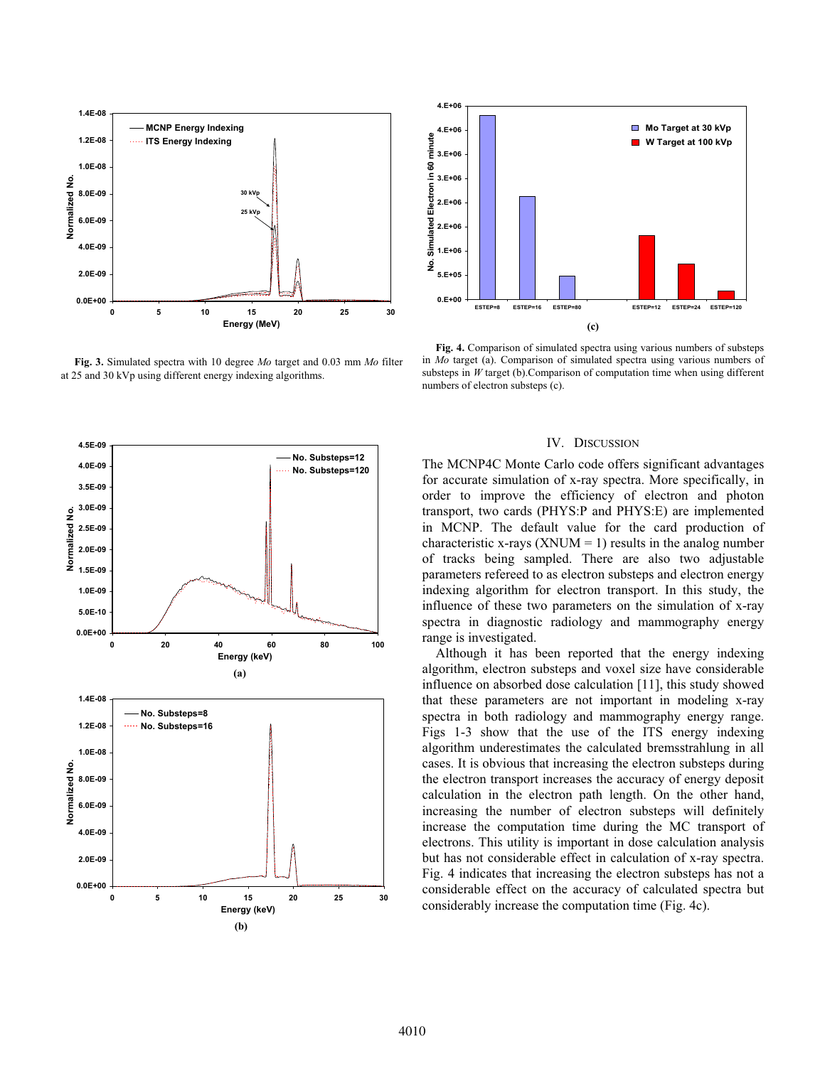

**Fig. 3.** Simulated spectra with 10 degree *Mo* target and 0.03 mm *Mo* filter at 25 and 30 kVp using different energy indexing algorithms.





**Fig. 4.** Comparison of simulated spectra using various numbers of substeps in *Mo* target (a). Comparison of simulated spectra using various numbers of substeps in *W* target (b). Comparison of computation time when using different numbers of electron substeps (c).

#### IV. DISCUSSION

The MCNP4C Monte Carlo code offers significant advantages for accurate simulation of x-ray spectra. More specifically, in order to improve the efficiency of electron and photon transport, two cards (PHYS:P and PHYS:E) are implemented in MCNP. The default value for the card production of characteristic x-rays  $(XNUM = 1)$  results in the analog number of tracks being sampled. There are also two adjustable parameters refereed to as electron substeps and electron energy indexing algorithm for electron transport. In this study, the influence of these two parameters on the simulation of x-ray spectra in diagnostic radiology and mammography energy range is investigated.

Although it has been reported that the energy indexing algorithm, electron substeps and voxel size have considerable influence on absorbed dose calculation [11], this study showed that these parameters are not important in modeling x-ray spectra in both radiology and mammography energy range. Figs 1-3 show that the use of the ITS energy indexing algorithm underestimates the calculated bremsstrahlung in all cases. It is obvious that increasing the electron substeps during the electron transport increases the accuracy of energy deposit calculation in the electron path length. On the other hand, increasing the number of electron substeps will definitely increase the computation time during the MC transport of electrons. This utility is important in dose calculation analysis but has not considerable effect in calculation of x-ray spectra. Fig. 4 indicates that increasing the electron substeps has not a considerable effect on the accuracy of calculated spectra but considerably increase the computation time (Fig. 4c).